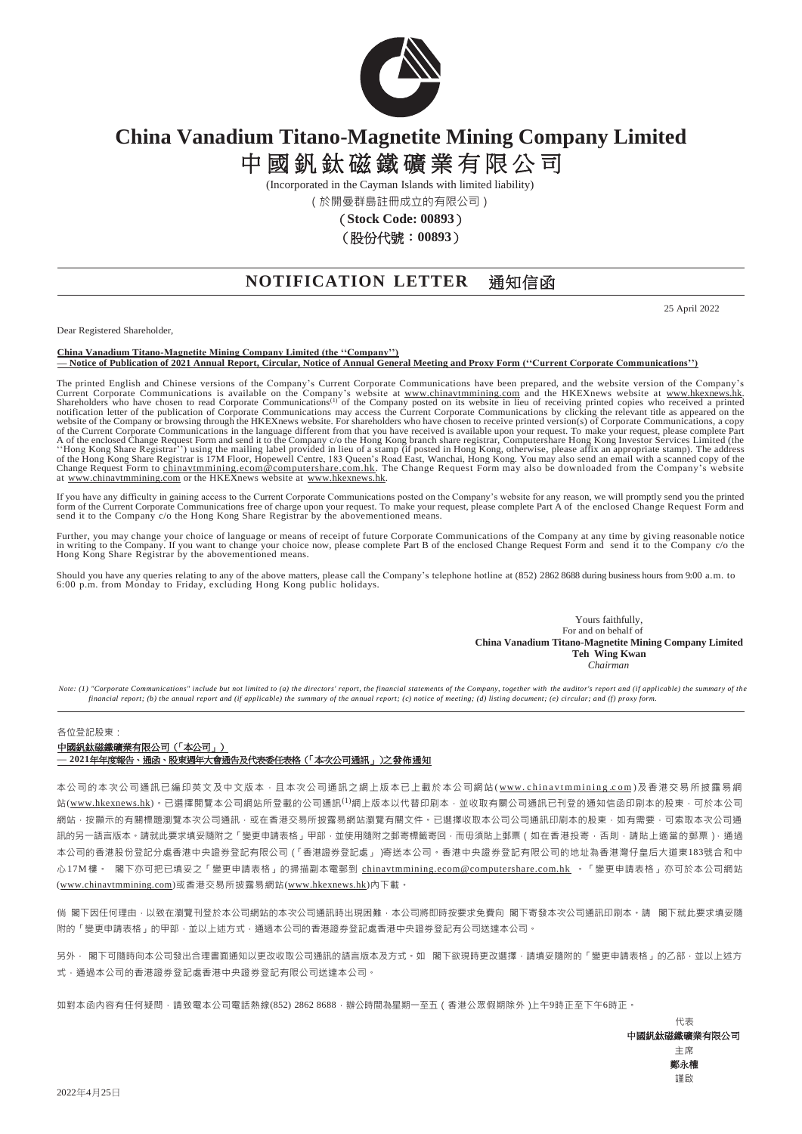

# **China Vanadium Titano-Magnetite Mining Company Limited** 中國釩鈦磁鐵礦業有限公司

(Incorporated in the Cayman Islands with limited liability)

(於開曼群島註冊成立的有限公司)

(**Stock Code: 00893**)

(股份代號:**00893**)

## **NOTIFICATION LETTER** 通知信函

25 April 2022

Dear Registered Shareholder,

**China Vanadium Titano-Magnetite Mining Company Limited (the ''Company'') — Notice of Publication of 2021 Annual Report, Circular, Notice of Annual General Meeting and Proxy Form (''Current Corporate Communications'')**

The printed English and Chinese versions of the Company's Current Corporate Communications have been prepared, and the website version of the Company's Current Corporate Communications is available on the Company's website of the Current Corporate Communications in the language different from that you have received is available upon your request. To make your request, please complete Part<br>A of the enclosed Change Request Form and send it to of the Hong Kong Share Registrar is 17M Floor, Hopewell Centre, 183 Queen's Road East, Wanchai, Hong Kong. You may also send an email with a scanned copy of the<br>Change Request Form to <u>chinavtmmining.ecom@computershare.com</u>

If you have any difficulty in gaining access to the Current Corporate Communications posted on the Company's website for any reason, we will promptly send you the printed form of the Current Corporate Communications free o

Further, you may change your choice of language or means of receipt of future Corporate Communications of the Company at any time by giving reasonable notice<br>in writing to the Company. If you want to change your choice now

Should you have any queries relating to any of the above matters, please call the Company's telephone hotline at (852) 2862 8688 during business hours from 9:00 a.m. to<br>6:00 p.m. from Monday to Friday, excluding Hong Kong

Yours faithfully, For and on behalf of **China Vanadium Titano-Magnetite Mining Company Limited Teh Wing Kwan** *Chairman*

*Note: (1) "Corporate Communications" include but not limited to (a) the directors' report, the financial statements of the Company, together with the auditor's report and (if applicable) the summary of the financial report; (b) the annual report and (if applicable) the summary of the annual report; (c) notice of meeting; (d) listing document; (e) circular; and (f) proxy form.*

#### 各位登記股東:

### 中國釩鈦磁鐵礦業有限公司(「本公司」)

#### **— 2021**年年度報告、通函、股東週年大會通告及代表委任表格(「本次公司通訊」)之發佈通知

本公司的本次公司通訊已編印英文及中文版本,且本次公司通訊之網上版本已上載於本公司網站( www. china vtmmining.com)及香港交易所披露易網 站(www.hkexnews.hk)。已選擇閱覽本公司網站所登載的公司通訊<sup>(1)</sup>網上版本以代替印刷本,並收取有關公司通訊已刊登的通知信函印刷本的股東,可於本公司 網站,按顯示的有關標題瀏覽本次公司通訊,或在香港交易所披露易網站瀏覽有關文件。已選擇收取本公司公司通訊印刷本的股東,如有需要,可索取本次公司通 訊的另一語言版本。請就此要求填妥隨附之「變更申請表格」甲部,並使用隨附之郵寄標籤寄回,而毋須貼上郵票(如在香港投寄,否則,請貼上適當的郵票),通過 本公司的香港股份登記分處香港中央證券登記有限公司(「香港證券登記處」)寄送本公司。香港中央證券登記有限公司的地址為香港灣仔皇后大道東183號合和中 心17M樓。 閣下亦可把已填妥之「變更申請表格」的掃描副本電郵到 [chinavtmmining.ecom@computershare.com.hk](mailto:chinavtmmining.ecom@computershare.com.hk) 。「變更申請表格」亦可於本公司網站 (www.chinavtmmining.com)或香港交易所披露易網站(www.hkexnews.hk)內下載。

倘 閣下因任何理由,以致在瀏覽刊登於本公司網站的本次公司通訊時出現困難,本公司將即時按要求免費向 閣下寄發本次公司通訊印刷本。請 閣下就此要求填妥隨 附的「變更申請表格」的甲部,並以上述方式,通過本公司的香港證券登記處香港中央證券登記有公司送達本公司。

另外, 閣下可隨時向本公司發出合理書面通知以更改收取公司通訊的語言版本及方式。如 閣下欲現時更改選擇,請填妥隨附的「變更申請表格」的乙部,並以上述方 式,通過本公司的香港證券登記中央證券登記有限公司送達本公司。

如對本函內容有任何疑問 ·請致電本公司電話熱線(852) 2862 8688 ·辦公時間為星期一至五 ( 香港公眾假期除外 )上午9時正至下午6時正 ·

代表 中國釩鈦磁鐵礦業有限公司 主席 鄭永權 謹啟